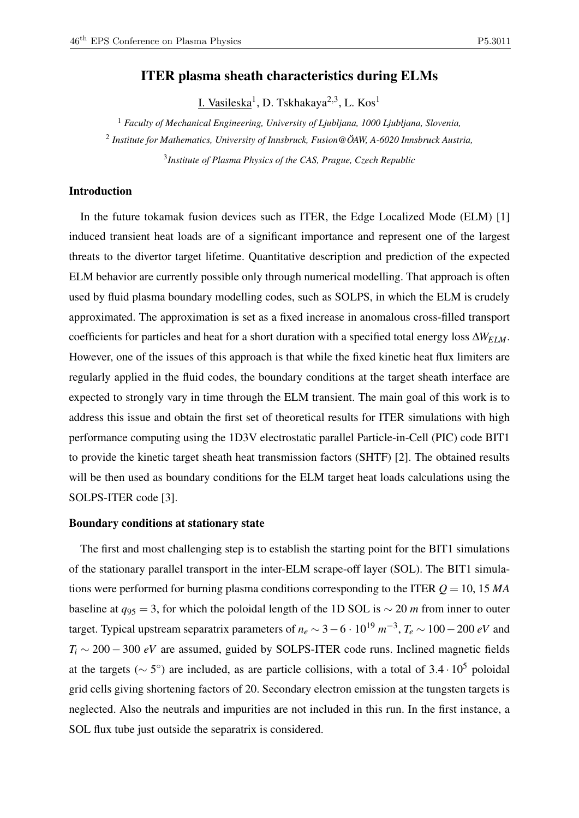# ITER plasma sheath characteristics during ELMs

<u>I. Vasileska</u><sup>1</sup>, D. Tskhakaya<sup>2,3</sup>, L. Kos<sup>1</sup>

<sup>1</sup> *Faculty of Mechanical Engineering, University of Ljubljana, 1000 Ljubljana, Slovenia,* 2 *Institute for Mathematics, University of Innsbruck, Fusion@ÖAW, A-6020 Innsbruck Austria,* 3 *Institute of Plasma Physics of the CAS, Prague, Czech Republic*

# Introduction

In the future tokamak fusion devices such as ITER, the Edge Localized Mode (ELM) [1] induced transient heat loads are of a significant importance and represent one of the largest threats to the divertor target lifetime. Quantitative description and prediction of the expected ELM behavior are currently possible only through numerical modelling. That approach is often used by fluid plasma boundary modelling codes, such as SOLPS, in which the ELM is crudely approximated. The approximation is set as a fixed increase in anomalous cross-filled transport coefficients for particles and heat for a short duration with a specified total energy loss ∆*WELM*. However, one of the issues of this approach is that while the fixed kinetic heat flux limiters are regularly applied in the fluid codes, the boundary conditions at the target sheath interface are expected to strongly vary in time through the ELM transient. The main goal of this work is to address this issue and obtain the first set of theoretical results for ITER simulations with high performance computing using the 1D3V electrostatic parallel Particle-in-Cell (PIC) code BIT1 to provide the kinetic target sheath heat transmission factors (SHTF) [2]. The obtained results will be then used as boundary conditions for the ELM target heat loads calculations using the SOLPS-ITER code [3].

#### Boundary conditions at stationary state

The first and most challenging step is to establish the starting point for the BIT1 simulations of the stationary parallel transport in the inter-ELM scrape-off layer (SOL). The BIT1 simulations were performed for burning plasma conditions corresponding to the ITER *Q* = 10, 15 *MA* baseline at  $q_{95} = 3$ , for which the poloidal length of the 1D SOL is  $\sim 20$  *m* from inner to outer target. Typical upstream separatrix parameters of  $n_e \sim 3 - 6 \cdot 10^{19} \; m^{-3}$ ,  $T_e \sim 100 - 200 \; eV$  and  $T_i \sim 200 - 300 \text{ eV}$  are assumed, guided by SOLPS-ITER code runs. Inclined magnetic fields at the targets ( $\sim$  5°) are included, as are particle collisions, with a total of 3.4 · 10<sup>5</sup> poloidal grid cells giving shortening factors of 20. Secondary electron emission at the tungsten targets is neglected. Also the neutrals and impurities are not included in this run. In the first instance, a SOL flux tube just outside the separatrix is considered.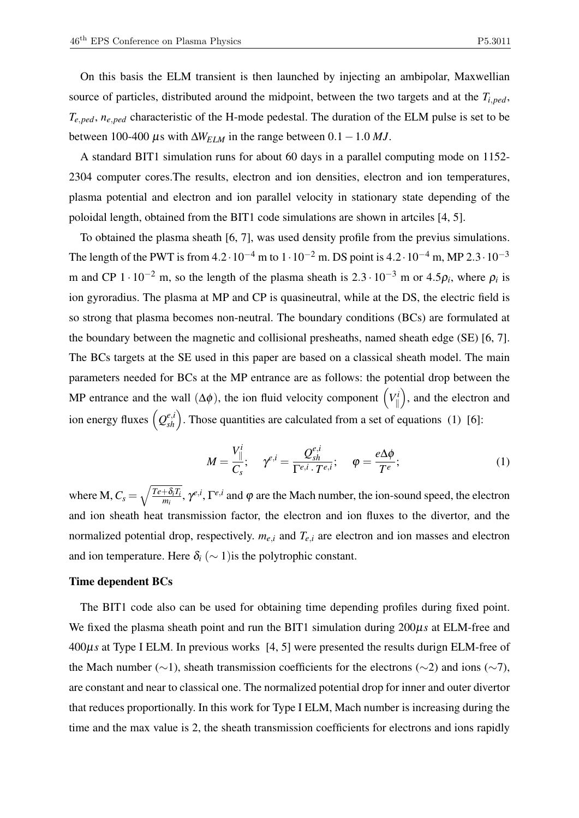On this basis the ELM transient is then launched by injecting an ambipolar, Maxwellian source of particles, distributed around the midpoint, between the two targets and at the *Ti*,*ped*, *Te*,*ped*, *ne*,*ped* characteristic of the H-mode pedestal. The duration of the ELM pulse is set to be between 100-400  $\mu$ s with  $\Delta W_{ELM}$  in the range between 0.1 – 1.0 *MJ*.

A standard BIT1 simulation runs for about 60 days in a parallel computing mode on 1152- 2304 computer cores.The results, electron and ion densities, electron and ion temperatures, plasma potential and electron and ion parallel velocity in stationary state depending of the poloidal length, obtained from the BIT1 code simulations are shown in artciles [4, 5].

To obtained the plasma sheath [6, 7], was used density profile from the previus simulations. The length of the PWT is from  $4.2 \cdot 10^{-4}$  m to  $1 \cdot 10^{-2}$  m. DS point is  $4.2 \cdot 10^{-4}$  m, MP  $2.3 \cdot 10^{-3}$ m and CP  $1 \cdot 10^{-2}$  m, so the length of the plasma sheath is  $2.3 \cdot 10^{-3}$  m or  $4.5\rho_i$ , where  $\rho_i$  is ion gyroradius. The plasma at MP and CP is quasineutral, while at the DS, the electric field is so strong that plasma becomes non-neutral. The boundary conditions (BCs) are formulated at the boundary between the magnetic and collisional presheaths, named sheath edge (SE) [6, 7]. The BCs targets at the SE used in this paper are based on a classical sheath model. The main parameters needed for BCs at the MP entrance are as follows: the potential drop between the MP entrance and the wall  $(\Delta \phi)$ , the ion fluid velocity component  $\left(V_{\parallel}^i\right)$  $\mathbb{I}$  , and the electron and ion energy fluxes  $(Q_{sh}^{e,i})$ . Those quantities are calculated from a set of equations (1) [6]:

$$
M = \frac{V_{\parallel}^i}{C_s}; \quad \gamma^{e,i} = \frac{Q_{sh}^{e,i}}{\Gamma^{e,i} \cdot T^{e,i}}; \quad \varphi = \frac{e\Delta\phi}{T^e};
$$
 (1)

where M,  $C_s = \sqrt{\frac{Te + \delta_i T_i}{m_i}}$  $+\frac{\delta_i T_i}{m_i}$ ,  $\gamma^{e,i}$ ,  $\Gamma^{e,i}$  and  $\varphi$  are the Mach number, the ion-sound speed, the electron and ion sheath heat transmission factor, the electron and ion fluxes to the divertor, and the normalized potential drop, respectively.  $m_{e,i}$  and  $T_{e,i}$  are electron and ion masses and electron and ion temperature. Here  $\delta_i$  ( $\sim$  1) is the polytrophic constant.

### Time dependent BCs

The BIT1 code also can be used for obtaining time depending profiles during fixed point. We fixed the plasma sheath point and run the BIT1 simulation during 200µ*s* at ELM-free and 400µ*s* at Type I ELM. In previous works [4, 5] were presented the results durign ELM-free of the Mach number (∼1), sheath transmission coefficients for the electrons (∼2) and ions (∼7), are constant and near to classical one. The normalized potential drop for inner and outer divertor that reduces proportionally. In this work for Type I ELM, Mach number is increasing during the time and the max value is 2, the sheath transmission coefficients for electrons and ions rapidly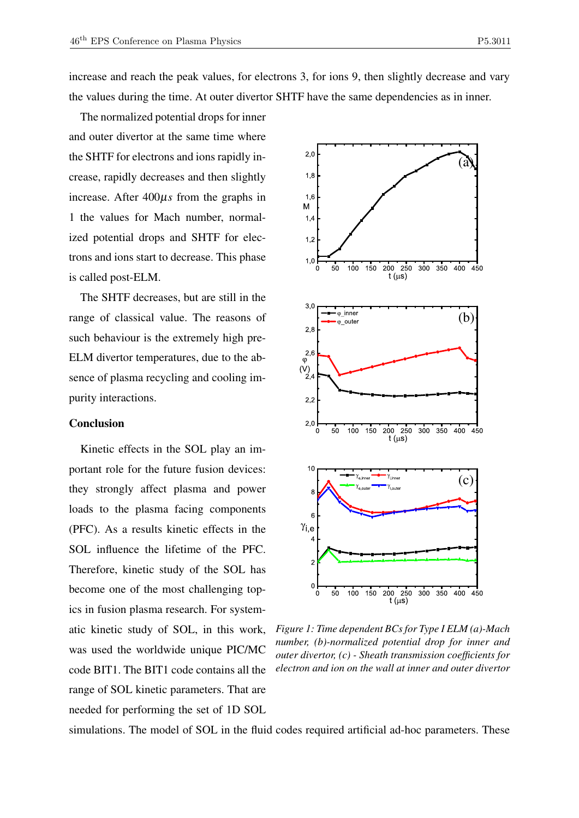increase and reach the peak values, for electrons 3, for ions 9, then slightly decrease and vary the values during the time. At outer divertor SHTF have the same dependencies as in inner.

The normalized potential drops for inner and outer divertor at the same time where the SHTF for electrons and ions rapidly increase, rapidly decreases and then slightly increase. After 400µ*s* from the graphs in 1 the values for Mach number, normalized potential drops and SHTF for electrons and ions start to decrease. This phase is called post-ELM.

The SHTF decreases, but are still in the range of classical value. The reasons of such behaviour is the extremely high pre-ELM divertor temperatures, due to the absence of plasma recycling and cooling impurity interactions.

#### Conclusion

Kinetic effects in the SOL play an important role for the future fusion devices: they strongly affect plasma and power loads to the plasma facing components (PFC). As a results kinetic effects in the SOL influence the lifetime of the PFC. Therefore, kinetic study of the SOL has become one of the most challenging topics in fusion plasma research. For systematic kinetic study of SOL, in this work, was used the worldwide unique PIC/MC code BIT1. The BIT1 code contains all the range of SOL kinetic parameters. That are needed for performing the set of 1D SOL



*Figure 1: Time dependent BCs for Type I ELM (a)-Mach number, (b)-normalized potential drop for inner and outer divertor, (c) - Sheath transmission coefficients for electron and ion on the wall at inner and outer divertor*

simulations. The model of SOL in the fluid codes required artificial ad-hoc parameters. These